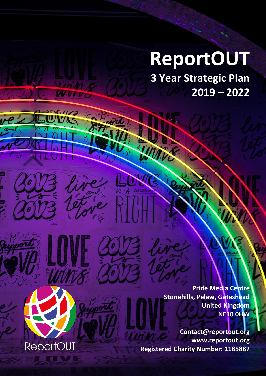# **ReportOUT**

**ReportOUT 3 Year Strategic Plan: 2019 - 2022 1**

**W.Vou** 

**ReportOUT** 

**3 Year Strategic Plan 2019 – 2022**

> **Pride Media Centre Stonehills, Pelaw, Gateshead United Kingdom NE10 0HW**

**Contact@reportout.org www.reportout.org Registered Charity Number: 1185887**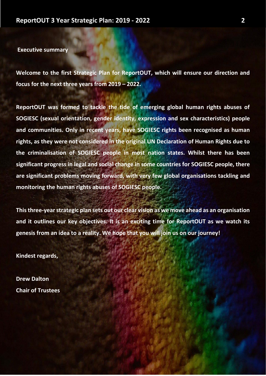**Executive summary**

**Welcome to the first Strategic Plan for ReportOUT, which will ensure our direction and focus for the next three years from 2019 – 2022.**

**ReportOUT was formed to tackle the tide of emerging global human rights abuses of SOGIESC (sexual orientation, gender identity, expression and sex characteristics) people and communities. Only in recent years, have SOGIESC rights been recognised as human rights, as they were not considered in the original UN Declaration of Human Rights due to the criminalisation of SOGIESC people in most nation states. Whilst there has been significant progress in legal and social change in some countries for SOGIESC people, there are significant problems moving forward, with very few global organisations tackling and monitoring the human rights abuses of SOGIESC people.**

**This three-year strategic plan sets out our clear vision as we move ahead as an organisation and it outlines our key objectives. It is an exciting time for ReportOUT as we watch its genesis from an idea to a reality. We hope that you will join us on our journey!**

**Kindest regards,**

**Drew Dalton Chair of Trustees**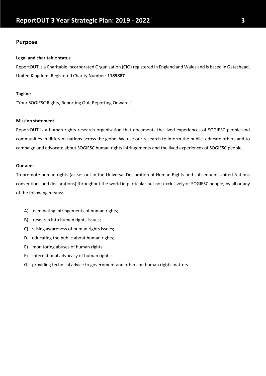## **Purpose**

#### **Legal and charitable status**

ReportOUT is a Charitable Incorporated Organisation (CIO) registered in England and Wales and is based in Gateshead, United Kingdom. Registered Charity Number: **1185887**

#### **Tagline**

"Your SOGIESC Rights, Reporting Out, Reporting Onwards"

#### **Mission statement**

ReportOUT is a human rights research organisation that documents the lived experiences of SOGIESC people and communities in different nations across the globe. We use our research to inform the public, educate others and to campaign and advocate about SOGIESC human rights infringements and the lived experiences of SOGIESC people.

#### **Our aims**

To promote human rights (as set out in the Universal Declaration of Human Rights and subsequent United Nations conventions and declarations) throughout the world in particular but not exclusively of SOGIESC people, by all or any of the following means:

- A) eliminating infringements of human rights;
- B) research into human rights issues;
- C) raising awareness of human rights issues;
- D) educating the public about human rights;
- E) monitoring abuses of human rights;
- F) international advocacy of human rights;
- G) providing technical advice to government and others on human rights matters.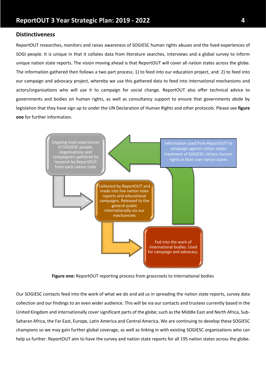## **Distinctiveness**

ReportOUT researches, monitors and raises awareness of SOGIESC human rights abuses and the lived experiences of SOGI people. It is unique in that it collates data from literature searches, interviews and a global survey to inform unique nation state reports. The vision moving ahead is that ReportOUT will cover all nation states across the globe. The information gathered then follows a two part process; 1) to feed into our education project, and: 2) to feed into our campaign and advocacy project, whereby we use this gathered data to feed into international mechanisms and actors/organisations who will use it to campaign for social change. ReportOUT also offer technical advice to governments and bodies on human rights, as well as consultancy support to ensure that governments abide by legislation that they have sign up to under the UN Declaration of Human Rights and other protocols. Please see **figure one** for further information.



**Figure one:** ReportOUT reporting process from grassroots to international bodies

Our SOGIESC contacts feed into the work of what we do and aid us in spreading the nation state reports, survey data collection and our findings to an even wider audience. This will be via our contacts and trustees currently based in the United Kingdom and internationally cover significant parts of the globe; such as the Middle East and North Africa, Sub-Saharan Africa, the Far East, Europe, Latin America and Central America. We are continuing to develop these SOGIESC champions so we may gain further global coverage, as well as linking in with existing SOGIESC organisations who can help us further. ReportOUT aim to have the survey and nation state reports for all 195 nation states across the globe.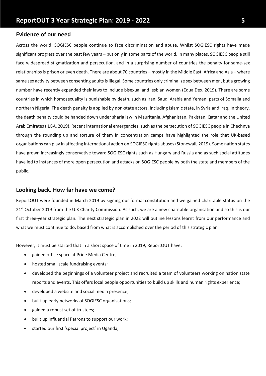## **Evidence of our need**

Across the world, SOGIESC people continue to face discrimination and abuse. Whilst SOGIESC rights have made significant progress over the past few years – but only in some parts of the world. In many places, SOGIESC people still face widespread stigmatization and persecution, and in a surprising number of countries the penalty for same-sex relationships is prison or even death. There are about 70 countries – mostly in the Middle East, Africa and Asia – where same sex activity between consenting adults is illegal. Some countries only criminalize sex between men, but a growing number have recently expanded their laws to include bisexual and lesbian women (EqualDex, 2019). There are some countries in which homosexuality is punishable by death, such as Iran, Saudi Arabia and Yemen; parts of Somalia and northern Nigeria. The death penalty is applied by non-state actors, including Islamic state, in Syria and Iraq. In theory, the death penalty could be handed down under sharia law in Mauritania, Afghanistan, Pakistan, Qatar and the United Arab Emirates (ILGA, 2019). Recent international emergencies, such as the persecution of SOGIESC people in Chechnya through the rounding up and torture of them in concentration camps have highlighted the role that UK-based organisations can play in affecting international action on SOGIESC rights abuses (Stonewall, 2019). Some nation states have grown increasingly conservative toward SOGIESC rights such as Hungary and Russia and as such social attitudes have led to instances of more open persecution and attacks on SOGIESC people by both the state and members of the public.

## **Looking back. How far have we come?**

ReportOUT were founded in March 2019 by signing our formal constitution and we gained charitable status on the 21<sup>st</sup> October 2019 from the U.K Charity Commission. As such, we are a new charitable organisation and so this is our first three-year strategic plan. The next strategic plan in 2022 will outline lessons learnt from our performance and what we must continue to do, based from what is accomplished over the period of this strategic plan.

However, it must be started that in a short space of time in 2019, ReportOUT have:

- gained office space at Pride Media Centre;
- hosted small scale fundraising events;
- developed the beginnings of a volunteer project and recruited a team of volunteers working on nation state reports and events. This offers local people opportunities to build up skills and human rights experience;
- developed a website and social media presence;
- built up early networks of SOGIESC organisations;
- gained a robust set of trustees;
- built up influential Patrons to support our work;
- started our first 'special project' in Uganda;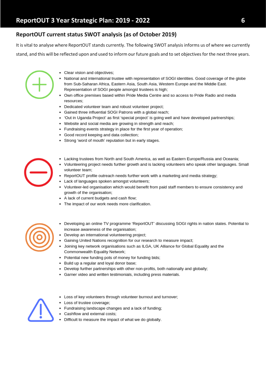# **ReportOUT current status SWOT analysis (as of October 2019)**

It is vital to analyse where ReportOUT stands currently. The following SWOT analysis informs us of where we currently stand, and this will be reflected upon and used to inform our future goals and to set objectives for the next three years.

- 
- Clear vision and objectives;
- National and international trustee with representation of SOGI identities. Good coverage of the globe from Sub-Saharan Africa, Eastern Asia, South Asia, Western Europe and the Middle East. Representation of SOGI people amongst trustees is high;
- . Own office premises based within Pride Media Centre and so access to Pride Radio and media resources:
- Dedicated volunteer team and robust volunteer project:
- Gained three influential SOGI Patrons with a global reach;
- 'Out in Uganda Project' as first 'special project' is going well and have developed partnerships;
- Website and social media are growing in strength and reach;
- Fundraising events strategy in place for the first year of operation;
- Good record keeping and data collection;
- Strong 'word of mouth' reputation but in early stages.
- Lacking trustees from North and South America, as well as Eastern Europe/Russia and Oceania;
- Volunteering project needs further growth and is lacking volunteers who speak other languages. Small volunteer team;
- ReportOUT profile outreach needs further work with a marketing and media strategy;
- Lack of languages spoken amongst volunteers;
- Volunteer-led organisation which would benefit from paid staff members to ensure consistency and growth of the organisation;
- A lack of current budgets and cash flow;
- . The impact of our work needs more clarification.



- . Developing an online TV programme 'ReportOUT' discussing SOGI rights in nation states. Potential to increase awareness of the organisation:
- Develop an international volunteering project;
- Gaining United Nations recognition for our research to measure impact;
	- Joining key network organisations such as ILGA, UK Alliance for Global Equality and the Commonwealth Equality Network;
	- Potential new funding pots of money for funding bids;
	- . Build up a regular and loyal donor base;
	- Develop further partnerships with other non-profits, both nationally and globally;
	- Garner video and written testimonials, including press materials.



- Loss of key volunteers through volunteer burnout and turnover;
- Loss of trustee coverage;
- Fundraising landscape changes and a lack of funding;
- Cashflow and external costs;
- Difficult to measure the impact of what we do globally.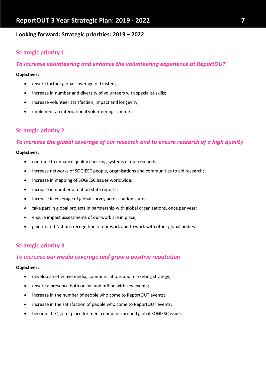## **Looking forward: Strategic priorities: 2019 – 2022**

# **Strategic priority 1**

## *To increase volunteering and enhance the volunteering experience at ReportOUT*

#### **Objectives:**

- ensure further global coverage of trustees;
- increase in number and diversity of volunteers with specialist skills;
- increase volunteer satisfaction, impact and longevity;
- implement an international volunteering scheme.

# **Strategic priority 2**

## *To increase the global coverage of our research and to ensure research of a high quality*

## **Objectives:**

- continue to enhance quality checking systems of our research;
- increase networks of SOGIESC people, organisations and communities to aid research;
- increase in mapping of SOGIESC issues worldwide;
- increase in number of nation state reports;
- increase in coverage of global survey across nation states;
- take part in global projects in partnership with global organisations, once per year;
- ensure impact assessments of our work are in place;
- gain United Nations recognition of our work and to work with other global bodies.

## **Strategic priority 3**

## *To increase our media coverage and grow a positive reputation*

#### **Objectives:**

- develop an effective media, communications and marketing strategy;
- ensure a presence both online and offline with key events;
- increase in the number of people who come to ReportOUT events;
- increase in the satisfaction of people who come to ReportOUT events;
- become the 'go to' place for media enquiries around global SOGIESC issues.